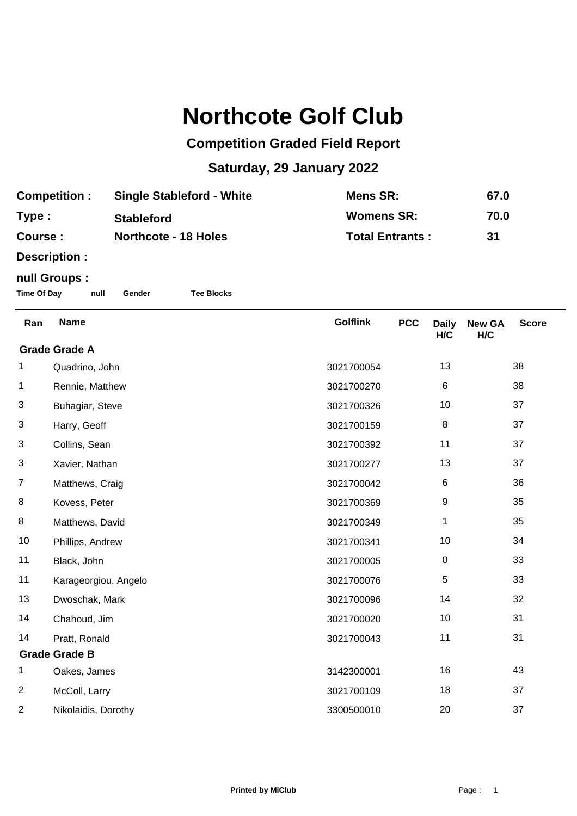## **Northcote Golf Club**

## **Competition Graded Field Report**

## **Saturday, 29 January 2022**

| <b>Competition:</b> | <b>Single Stableford - White</b> | Mens SR:               | 67.0 |
|---------------------|----------------------------------|------------------------|------|
| Type:               | <b>Stableford</b>                | <b>Womens SR:</b>      | 70.0 |
| Course :            | <b>Northcote - 18 Holes</b>      | <b>Total Entrants:</b> | 31   |

**Description :**

## **null Groups :**

**Time Of Day null Gender Tee Blocks**

| Ran                  | <b>Name</b>          | <b>Golflink</b> | <b>PCC</b> | <b>Daily</b><br>H/C | <b>New GA</b><br>H/C | <b>Score</b> |
|----------------------|----------------------|-----------------|------------|---------------------|----------------------|--------------|
| <b>Grade Grade A</b> |                      |                 |            |                     |                      |              |
| 1                    | Quadrino, John       | 3021700054      |            | 13                  |                      | 38           |
| 1                    | Rennie, Matthew      | 3021700270      |            | 6                   |                      | 38           |
| 3                    | Buhagiar, Steve      | 3021700326      |            | 10                  |                      | 37           |
| 3                    | Harry, Geoff         | 3021700159      |            | 8                   |                      | 37           |
| 3                    | Collins, Sean        | 3021700392      |            | 11                  |                      | 37           |
| 3                    | Xavier, Nathan       | 3021700277      |            | 13                  |                      | 37           |
| $\overline{7}$       | Matthews, Craig      | 3021700042      |            | 6                   |                      | 36           |
| 8                    | Kovess, Peter        | 3021700369      |            | 9                   |                      | 35           |
| 8                    | Matthews, David      | 3021700349      |            | 1                   |                      | 35           |
| 10                   | Phillips, Andrew     | 3021700341      |            | 10                  |                      | 34           |
| 11                   | Black, John          | 3021700005      |            | $\pmb{0}$           |                      | 33           |
| 11                   | Karageorgiou, Angelo | 3021700076      |            | 5                   |                      | 33           |
| 13                   | Dwoschak, Mark       | 3021700096      |            | 14                  |                      | 32           |
| 14                   | Chahoud, Jim         | 3021700020      |            | 10                  |                      | 31           |
| 14                   | Pratt, Ronald        | 3021700043      |            | 11                  |                      | 31           |
| <b>Grade Grade B</b> |                      |                 |            |                     |                      |              |
| 1                    | Oakes, James         | 3142300001      |            | 16                  |                      | 43           |
| $\overline{c}$       | McColl, Larry        | 3021700109      |            | 18                  |                      | 37           |
| 2                    | Nikolaidis, Dorothy  | 3300500010      |            | 20                  |                      | 37           |